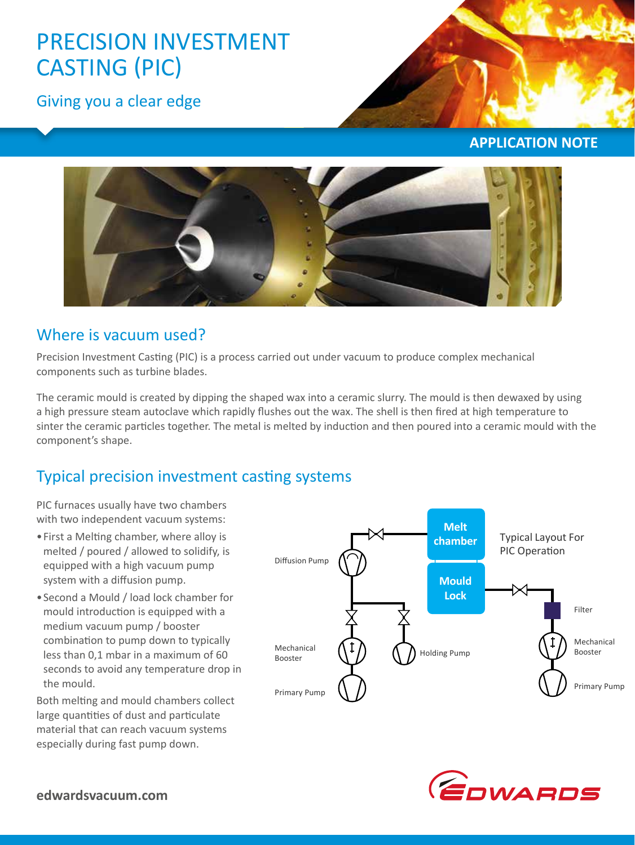# PRECISION INVESTMENT CASTING (PIC)

Giving you a clear edge



**APPLICATION NOTE**



### Where is vacuum used?

Precision Investment Casting (PIC) is a process carried out under vacuum to produce complex mechanical components such as turbine blades.

The ceramic mould is created by dipping the shaped wax into a ceramic slurry. The mould is then dewaxed by using a high pressure steam autoclave which rapidly flushes out the wax. The shell is then fired at high temperature to sinter the ceramic particles together. The metal is melted by induction and then poured into a ceramic mould with the component's shape.

# Typical precision investment casting systems

PIC furnaces usually have two chambers with two independent vacuum systems:

- •First a Melting chamber, where alloy is melted / poured / allowed to solidify, is equipped with a high vacuum pump system with a diffusion pump.
- •Second a Mould / load lock chamber for mould introduction is equipped with a medium vacuum pump / booster combination to pump down to typically less than 0,1 mbar in a maximum of 60 seconds to avoid any temperature drop in the mould.

Both melting and mould chambers collect large quantities of dust and particulate material that can reach vacuum systems especially during fast pump down.



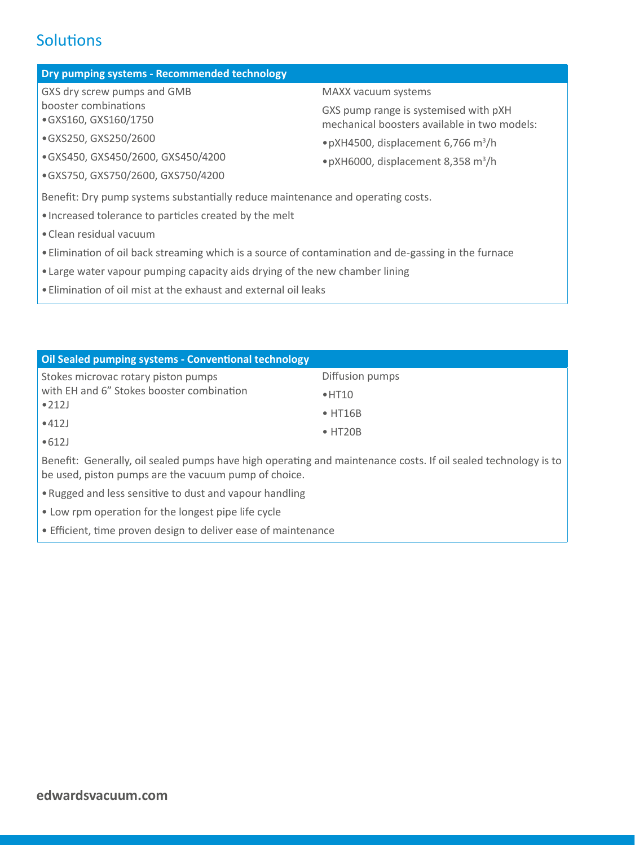## **Solutions**

### **Dry pumping systems - Recommended technology**

GXS dry screw pumps and GMB booster combinations •GXS160, GXS160/1750

- •GXS250, GXS250/2600
- •GXS450, GXS450/2600, GXS450/4200
- •GXS750, GXS750/2600, GXS750/4200

### MAXX vacuum systems

GXS pump range is systemised with pXH mechanical boosters available in two models:

- •pXH4500, displacement 6,766 m<sup>3</sup> /h
- •pXH6000, displacement 8,358 m<sup>3</sup> /h

Benefit: Dry pump systems substantially reduce maintenance and operating costs.

- •Increased tolerance to particles created by the melt
- •Clean residual vacuum
- •Elimination of oil back streaming which is a source of contamination and de‐gassing in the furnace
- •Large water vapour pumping capacity aids drying of the new chamber lining
- •Elimination of oil mist at the exhaust and external oil leaks

| Oil Sealed pumping systems - Conventional technology                                                                                                                   |                 |  |
|------------------------------------------------------------------------------------------------------------------------------------------------------------------------|-----------------|--|
| Stokes microvac rotary piston pumps<br>with EH and 6" Stokes booster combination<br>$\bullet$ 212J<br>•412J                                                            | Diffusion pumps |  |
|                                                                                                                                                                        | $\bullet$ HT10  |  |
|                                                                                                                                                                        | $\bullet$ HT16B |  |
|                                                                                                                                                                        | $\bullet$ HT20B |  |
| •612J                                                                                                                                                                  |                 |  |
| Benefit: Generally, oil sealed pumps have high operating and maintenance costs. If oil sealed technology is to<br>be used, piston pumps are the vacuum pump of choice. |                 |  |
| • Rugged and less sensitive to dust and vapour handling                                                                                                                |                 |  |

- Low rpm operation for the longest pipe life cycle
- Efficient, time proven design to deliver ease of maintenance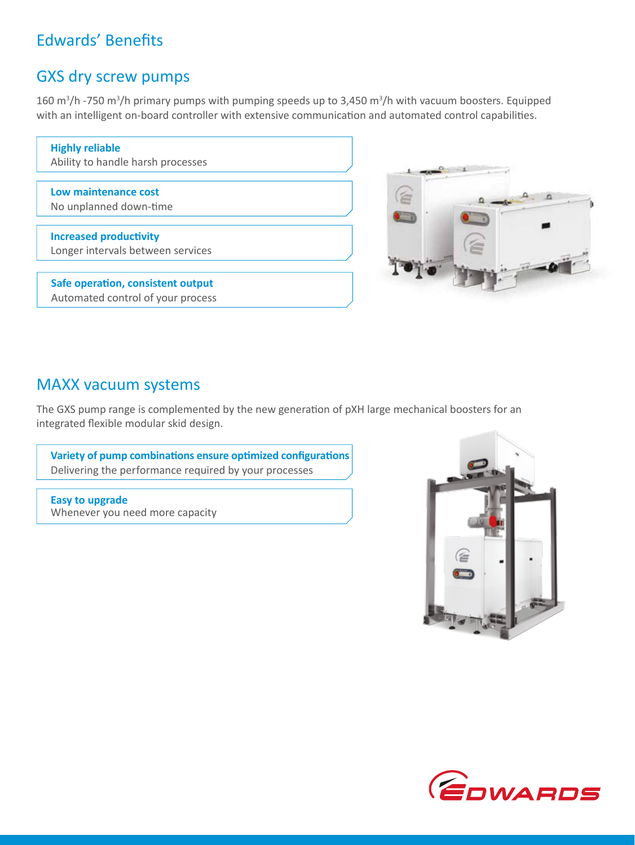# Edwards' Benefits

### GXS dry screw pumps

160 m<sup>3</sup>/h -750 m<sup>3</sup>/h primary pumps with pumping speeds up to 3,450 m<sup>3</sup>/h with vacuum boosters. Equipped with an intelligent on-board controller with extensive communication and automated control capabilities.

| <b>Highly reliable</b><br>Ability to handle harsh processes        |  |
|--------------------------------------------------------------------|--|
| Low maintenance cost<br>No unplanned down-time                     |  |
| <b>Increased productivity</b><br>Longer intervals between services |  |
| Safe operation, consistent output                                  |  |



# Automated control of your process

### MAXX vacuum systems

The GXS pump range is complemented by the new generation of pXH large mechanical boosters for an integrated flexible modular skid design.

**Variety of pump combinations ensure optimized configurations** Delivering the performance required by your processes

**Easy to upgrade**  Whenever you need more capacity